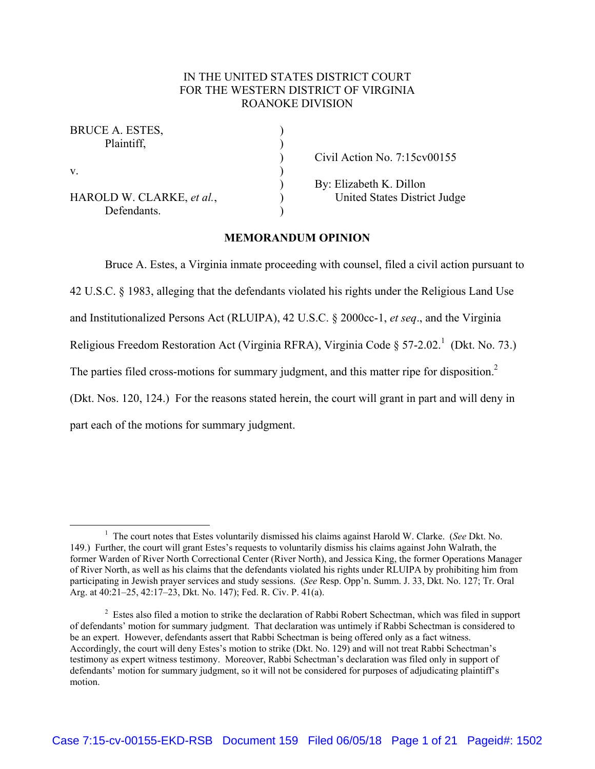# IN THE UNITED STATES DISTRICT COURT FOR THE WESTERN DISTRICT OF VIRGINIA ROANOKE DIVISION

| BRUCE A. ESTES,           |                                        |
|---------------------------|----------------------------------------|
| Plaintiff.                |                                        |
|                           | Civil Action No. $7:15 \text{cv}00155$ |
| $V_{\cdot}$               |                                        |
|                           | By: Elizabeth K. Dillon                |
| HAROLD W. CLARKE, et al., | United States District Judge           |
| Defendants.               |                                        |

## **MEMORANDUM OPINION**

Bruce A. Estes, a Virginia inmate proceeding with counsel, filed a civil action pursuant to 42 U.S.C. § 1983, alleging that the defendants violated his rights under the Religious Land Use and Institutionalized Persons Act (RLUIPA), 42 U.S.C. § 2000cc-1, *et seq*., and the Virginia Religious Freedom Restoration Act (Virginia RFRA), Virginia Code § 57-2.02.<sup>1</sup> (Dkt. No. 73.) The parties filed cross-motions for summary judgment, and this matter ripe for disposition. $2$ (Dkt. Nos. 120, 124.) For the reasons stated herein, the court will grant in part and will deny in part each of the motions for summary judgment.

 $\frac{1}{1}$ <sup>1</sup> The court notes that Estes voluntarily dismissed his claims against Harold W. Clarke. (*See* Dkt. No. 149.) Further, the court will grant Estes's requests to voluntarily dismiss his claims against John Walrath, the former Warden of River North Correctional Center (River North), and Jessica King, the former Operations Manager of River North, as well as his claims that the defendants violated his rights under RLUIPA by prohibiting him from participating in Jewish prayer services and study sessions. (*See* Resp. Opp'n. Summ. J. 33, Dkt. No. 127; Tr. Oral Arg. at 40:21–25, 42:17–23, Dkt. No. 147); Fed. R. Civ. P. 41(a).

 $2$  Estes also filed a motion to strike the declaration of Rabbi Robert Schectman, which was filed in support of defendants' motion for summary judgment. That declaration was untimely if Rabbi Schectman is considered to be an expert. However, defendants assert that Rabbi Schectman is being offered only as a fact witness. Accordingly, the court will deny Estes's motion to strike (Dkt. No. 129) and will not treat Rabbi Schectman's testimony as expert witness testimony. Moreover, Rabbi Schectman's declaration was filed only in support of defendants' motion for summary judgment, so it will not be considered for purposes of adjudicating plaintiff's motion.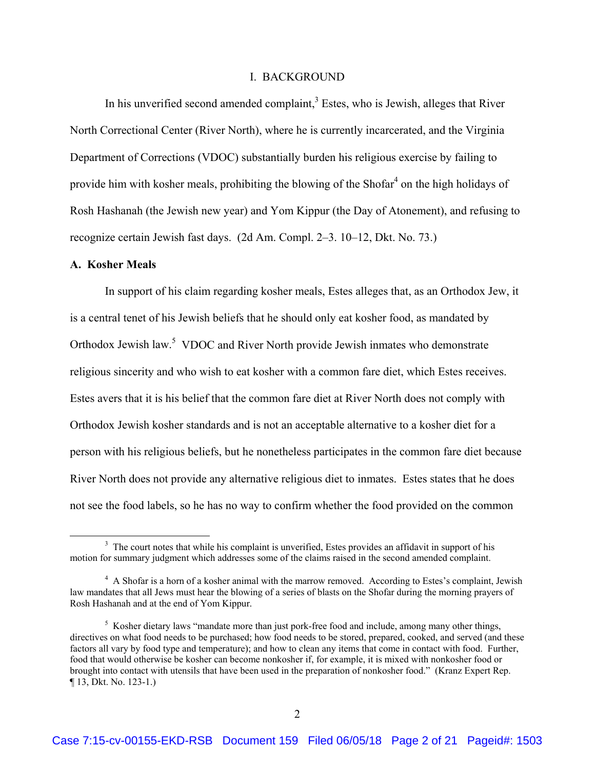#### I. BACKGROUND

In his unverified second amended complaint, $3$  Estes, who is Jewish, alleges that River North Correctional Center (River North), where he is currently incarcerated, and the Virginia Department of Corrections (VDOC) substantially burden his religious exercise by failing to provide him with kosher meals, prohibiting the blowing of the Shofar $4$  on the high holidays of Rosh Hashanah (the Jewish new year) and Yom Kippur (the Day of Atonement), and refusing to recognize certain Jewish fast days. (2d Am. Compl. 2–3. 10–12, Dkt. No. 73.)

#### **A. Kosher Meals**

In support of his claim regarding kosher meals, Estes alleges that, as an Orthodox Jew, it is a central tenet of his Jewish beliefs that he should only eat kosher food, as mandated by Orthodox Jewish law.<sup>5</sup> VDOC and River North provide Jewish inmates who demonstrate religious sincerity and who wish to eat kosher with a common fare diet, which Estes receives. Estes avers that it is his belief that the common fare diet at River North does not comply with Orthodox Jewish kosher standards and is not an acceptable alternative to a kosher diet for a person with his religious beliefs, but he nonetheless participates in the common fare diet because River North does not provide any alternative religious diet to inmates. Estes states that he does not see the food labels, so he has no way to confirm whether the food provided on the common

 <sup>3</sup>  $3\text{ The court notes that while his complaint is unverified, Estes provides an affidavit in support of his.}$ motion for summary judgment which addresses some of the claims raised in the second amended complaint.

<sup>&</sup>lt;sup>4</sup> A Shofar is a horn of a kosher animal with the marrow removed. According to Estes's complaint, Jewish law mandates that all Jews must hear the blowing of a series of blasts on the Shofar during the morning prayers of Rosh Hashanah and at the end of Yom Kippur.

<sup>&</sup>lt;sup>5</sup> Kosher dietary laws "mandate more than just pork-free food and include, among many other things, directives on what food needs to be purchased; how food needs to be stored, prepared, cooked, and served (and these factors all vary by food type and temperature); and how to clean any items that come in contact with food. Further, food that would otherwise be kosher can become nonkosher if, for example, it is mixed with nonkosher food or brought into contact with utensils that have been used in the preparation of nonkosher food." (Kranz Expert Rep. ¶ 13, Dkt. No. 123-1.)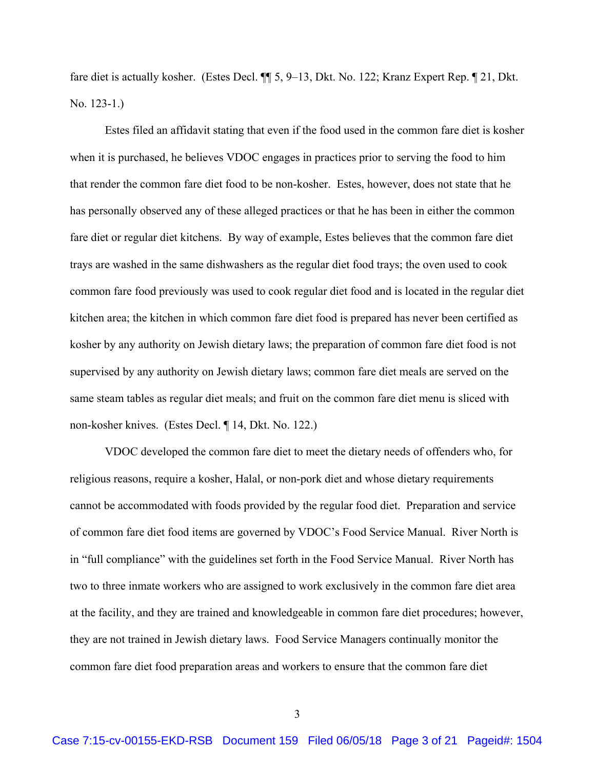fare diet is actually kosher. (Estes Decl. ¶¶ 5, 9–13, Dkt. No. 122; Kranz Expert Rep. ¶ 21, Dkt. No. 123-1.)

Estes filed an affidavit stating that even if the food used in the common fare diet is kosher when it is purchased, he believes VDOC engages in practices prior to serving the food to him that render the common fare diet food to be non-kosher. Estes, however, does not state that he has personally observed any of these alleged practices or that he has been in either the common fare diet or regular diet kitchens. By way of example, Estes believes that the common fare diet trays are washed in the same dishwashers as the regular diet food trays; the oven used to cook common fare food previously was used to cook regular diet food and is located in the regular diet kitchen area; the kitchen in which common fare diet food is prepared has never been certified as kosher by any authority on Jewish dietary laws; the preparation of common fare diet food is not supervised by any authority on Jewish dietary laws; common fare diet meals are served on the same steam tables as regular diet meals; and fruit on the common fare diet menu is sliced with non-kosher knives. (Estes Decl. ¶ 14, Dkt. No. 122.)

VDOC developed the common fare diet to meet the dietary needs of offenders who, for religious reasons, require a kosher, Halal, or non-pork diet and whose dietary requirements cannot be accommodated with foods provided by the regular food diet. Preparation and service of common fare diet food items are governed by VDOC's Food Service Manual. River North is in "full compliance" with the guidelines set forth in the Food Service Manual. River North has two to three inmate workers who are assigned to work exclusively in the common fare diet area at the facility, and they are trained and knowledgeable in common fare diet procedures; however, they are not trained in Jewish dietary laws. Food Service Managers continually monitor the common fare diet food preparation areas and workers to ensure that the common fare diet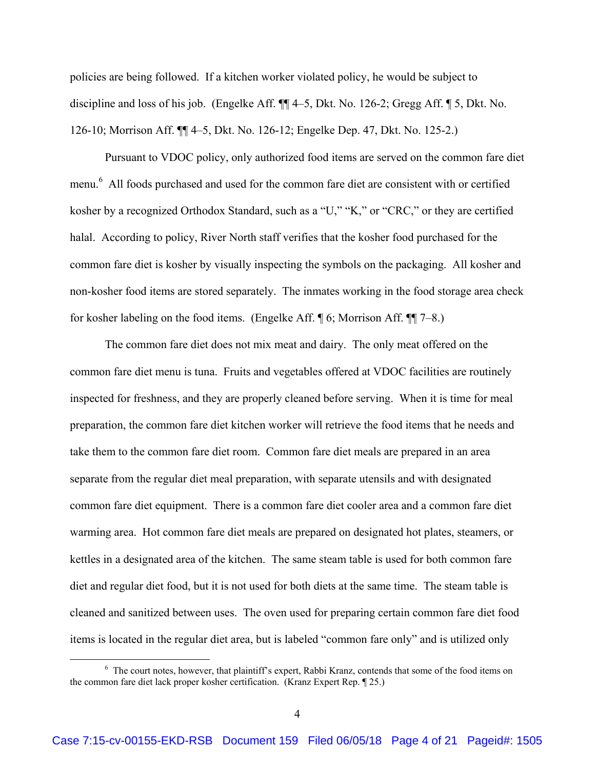policies are being followed. If a kitchen worker violated policy, he would be subject to discipline and loss of his job. (Engelke Aff. ¶¶ 4–5, Dkt. No. 126-2; Gregg Aff. ¶ 5, Dkt. No. 126-10; Morrison Aff. ¶¶ 4–5, Dkt. No. 126-12; Engelke Dep. 47, Dkt. No. 125-2.)

Pursuant to VDOC policy, only authorized food items are served on the common fare diet menu.<sup>6</sup> All foods purchased and used for the common fare diet are consistent with or certified kosher by a recognized Orthodox Standard, such as a "U," "K," or "CRC," or they are certified halal. According to policy, River North staff verifies that the kosher food purchased for the common fare diet is kosher by visually inspecting the symbols on the packaging. All kosher and non-kosher food items are stored separately. The inmates working in the food storage area check for kosher labeling on the food items. (Engelke Aff. ¶ 6; Morrison Aff. ¶¶ 7–8.)

The common fare diet does not mix meat and dairy. The only meat offered on the common fare diet menu is tuna. Fruits and vegetables offered at VDOC facilities are routinely inspected for freshness, and they are properly cleaned before serving. When it is time for meal preparation, the common fare diet kitchen worker will retrieve the food items that he needs and take them to the common fare diet room. Common fare diet meals are prepared in an area separate from the regular diet meal preparation, with separate utensils and with designated common fare diet equipment. There is a common fare diet cooler area and a common fare diet warming area. Hot common fare diet meals are prepared on designated hot plates, steamers, or kettles in a designated area of the kitchen. The same steam table is used for both common fare diet and regular diet food, but it is not used for both diets at the same time. The steam table is cleaned and sanitized between uses. The oven used for preparing certain common fare diet food items is located in the regular diet area, but is labeled "common fare only" and is utilized only

 <sup>6</sup> <sup>6</sup> The court notes, however, that plaintiff's expert, Rabbi Kranz, contends that some of the food items on the common fare diet lack proper kosher certification. (Kranz Expert Rep. ¶ 25.)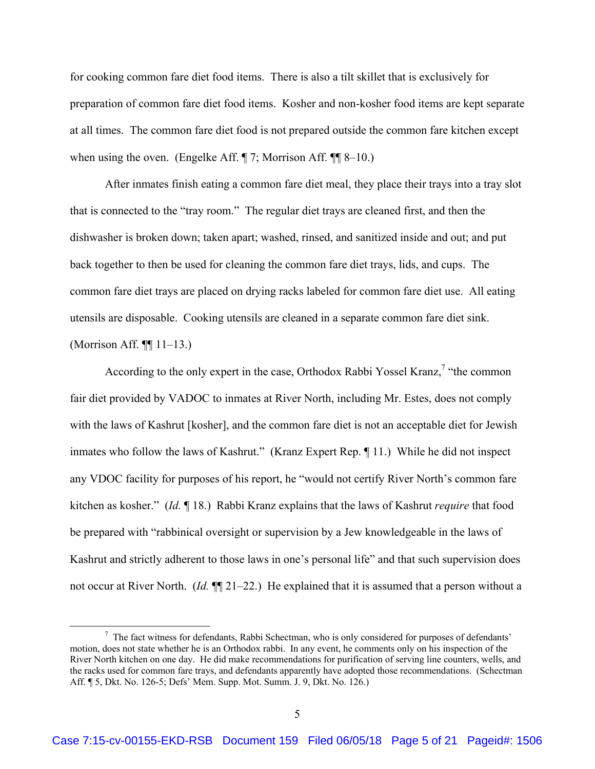for cooking common fare diet food items. There is also a tilt skillet that is exclusively for preparation of common fare diet food items. Kosher and non-kosher food items are kept separate at all times. The common fare diet food is not prepared outside the common fare kitchen except when using the oven. (Engelke Aff. ¶ 7; Morrison Aff. ¶ [ 8–10.)

After inmates finish eating a common fare diet meal, they place their trays into a tray slot that is connected to the "tray room." The regular diet trays are cleaned first, and then the dishwasher is broken down; taken apart; washed, rinsed, and sanitized inside and out; and put back together to then be used for cleaning the common fare diet trays, lids, and cups. The common fare diet trays are placed on drying racks labeled for common fare diet use. All eating utensils are disposable. Cooking utensils are cleaned in a separate common fare diet sink. (Morrison Aff. ¶¶ 11–13.)

According to the only expert in the case, Orthodox Rabbi Yossel Kranz,<sup>7</sup> "the common fair diet provided by VADOC to inmates at River North, including Mr. Estes, does not comply with the laws of Kashrut [kosher], and the common fare diet is not an acceptable diet for Jewish inmates who follow the laws of Kashrut." (Kranz Expert Rep. ¶ 11.) While he did not inspect any VDOC facility for purposes of his report, he "would not certify River North's common fare kitchen as kosher." (*Id.* ¶ 18.) Rabbi Kranz explains that the laws of Kashrut *require* that food be prepared with "rabbinical oversight or supervision by a Jew knowledgeable in the laws of Kashrut and strictly adherent to those laws in one's personal life" and that such supervision does not occur at River North. (*Id.*  $\P$ [21–22.) He explained that it is assumed that a person without a

 $\frac{1}{7}$  $\frac{7}{1}$  The fact witness for defendants, Rabbi Schectman, who is only considered for purposes of defendants' motion, does not state whether he is an Orthodox rabbi. In any event, he comments only on his inspection of the River North kitchen on one day. He did make recommendations for purification of serving line counters, wells, and the racks used for common fare trays, and defendants apparently have adopted those recommendations. (Schectman Aff. ¶ 5, Dkt. No. 126-5; Defs' Mem. Supp. Mot. Summ. J. 9, Dkt. No. 126.)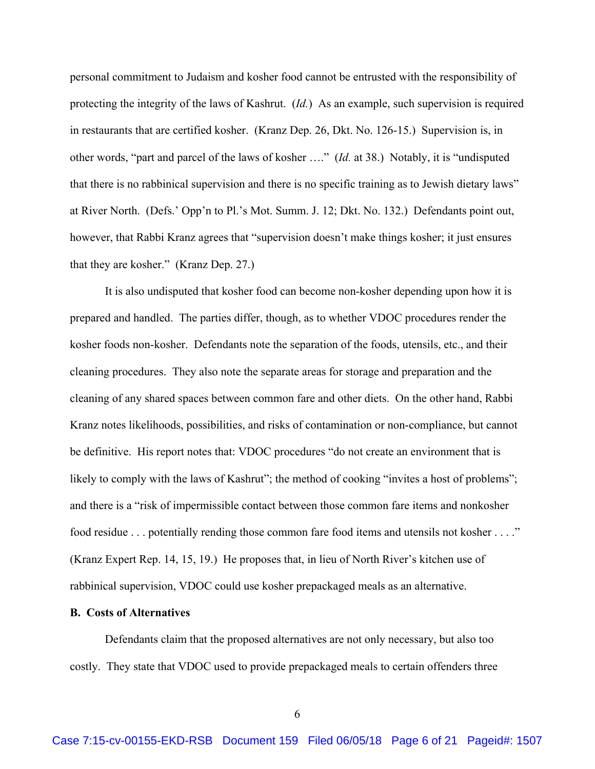personal commitment to Judaism and kosher food cannot be entrusted with the responsibility of protecting the integrity of the laws of Kashrut. (*Id.*) As an example, such supervision is required in restaurants that are certified kosher. (Kranz Dep. 26, Dkt. No. 126-15.) Supervision is, in other words, "part and parcel of the laws of kosher …." (*Id.* at 38.) Notably, it is "undisputed that there is no rabbinical supervision and there is no specific training as to Jewish dietary laws" at River North. (Defs.' Opp'n to Pl.'s Mot. Summ. J. 12; Dkt. No. 132.) Defendants point out, however, that Rabbi Kranz agrees that "supervision doesn't make things kosher; it just ensures that they are kosher." (Kranz Dep. 27.)

It is also undisputed that kosher food can become non-kosher depending upon how it is prepared and handled. The parties differ, though, as to whether VDOC procedures render the kosher foods non-kosher. Defendants note the separation of the foods, utensils, etc., and their cleaning procedures. They also note the separate areas for storage and preparation and the cleaning of any shared spaces between common fare and other diets. On the other hand, Rabbi Kranz notes likelihoods, possibilities, and risks of contamination or non-compliance, but cannot be definitive. His report notes that: VDOC procedures "do not create an environment that is likely to comply with the laws of Kashrut"; the method of cooking "invites a host of problems"; and there is a "risk of impermissible contact between those common fare items and nonkosher food residue . . . potentially rending those common fare food items and utensils not kosher . . . ." (Kranz Expert Rep. 14, 15, 19.) He proposes that, in lieu of North River's kitchen use of rabbinical supervision, VDOC could use kosher prepackaged meals as an alternative.

## **B. Costs of Alternatives**

Defendants claim that the proposed alternatives are not only necessary, but also too costly. They state that VDOC used to provide prepackaged meals to certain offenders three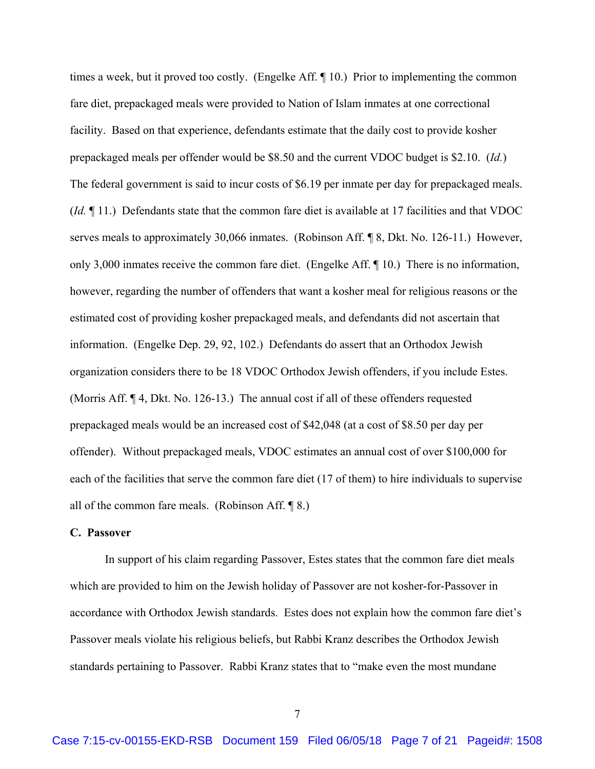times a week, but it proved too costly. (Engelke Aff. ¶ 10.) Prior to implementing the common fare diet, prepackaged meals were provided to Nation of Islam inmates at one correctional facility. Based on that experience, defendants estimate that the daily cost to provide kosher prepackaged meals per offender would be \$8.50 and the current VDOC budget is \$2.10. (*Id.*) The federal government is said to incur costs of \$6.19 per inmate per day for prepackaged meals. (*Id.* ¶ 11.) Defendants state that the common fare diet is available at 17 facilities and that VDOC serves meals to approximately 30,066 inmates. (Robinson Aff. ¶ 8, Dkt. No. 126-11.) However, only 3,000 inmates receive the common fare diet. (Engelke Aff. ¶ 10.) There is no information, however, regarding the number of offenders that want a kosher meal for religious reasons or the estimated cost of providing kosher prepackaged meals, and defendants did not ascertain that information. (Engelke Dep. 29, 92, 102.) Defendants do assert that an Orthodox Jewish organization considers there to be 18 VDOC Orthodox Jewish offenders, if you include Estes. (Morris Aff. ¶ 4, Dkt. No. 126-13.) The annual cost if all of these offenders requested prepackaged meals would be an increased cost of \$42,048 (at a cost of \$8.50 per day per offender). Without prepackaged meals, VDOC estimates an annual cost of over \$100,000 for each of the facilities that serve the common fare diet (17 of them) to hire individuals to supervise all of the common fare meals. (Robinson Aff.  $\P$ 8.)

### **C. Passover**

In support of his claim regarding Passover, Estes states that the common fare diet meals which are provided to him on the Jewish holiday of Passover are not kosher-for-Passover in accordance with Orthodox Jewish standards. Estes does not explain how the common fare diet's Passover meals violate his religious beliefs, but Rabbi Kranz describes the Orthodox Jewish standards pertaining to Passover. Rabbi Kranz states that to "make even the most mundane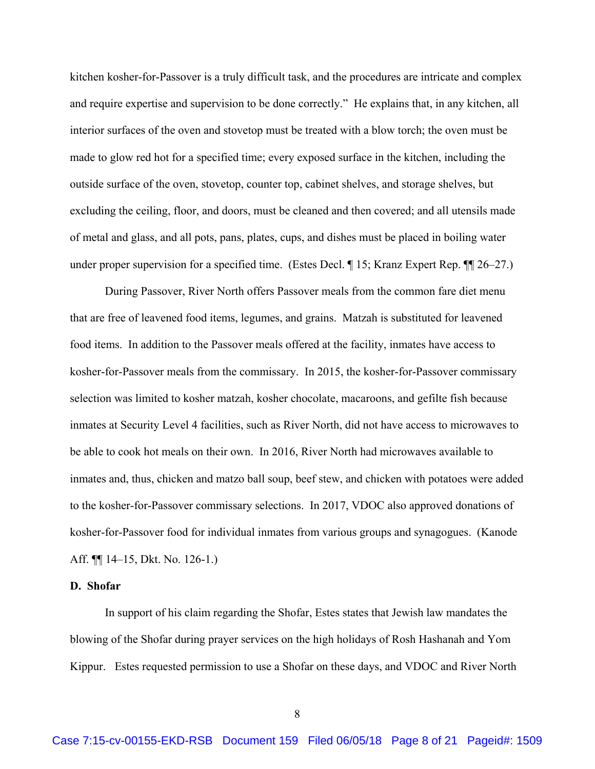kitchen kosher-for-Passover is a truly difficult task, and the procedures are intricate and complex and require expertise and supervision to be done correctly." He explains that, in any kitchen, all interior surfaces of the oven and stovetop must be treated with a blow torch; the oven must be made to glow red hot for a specified time; every exposed surface in the kitchen, including the outside surface of the oven, stovetop, counter top, cabinet shelves, and storage shelves, but excluding the ceiling, floor, and doors, must be cleaned and then covered; and all utensils made of metal and glass, and all pots, pans, plates, cups, and dishes must be placed in boiling water under proper supervision for a specified time. (Estes Decl. ¶ 15; Kranz Expert Rep. ¶ 26–27.)

During Passover, River North offers Passover meals from the common fare diet menu that are free of leavened food items, legumes, and grains. Matzah is substituted for leavened food items. In addition to the Passover meals offered at the facility, inmates have access to kosher-for-Passover meals from the commissary. In 2015, the kosher-for-Passover commissary selection was limited to kosher matzah, kosher chocolate, macaroons, and gefilte fish because inmates at Security Level 4 facilities, such as River North, did not have access to microwaves to be able to cook hot meals on their own. In 2016, River North had microwaves available to inmates and, thus, chicken and matzo ball soup, beef stew, and chicken with potatoes were added to the kosher-for-Passover commissary selections. In 2017, VDOC also approved donations of kosher-for-Passover food for individual inmates from various groups and synagogues. (Kanode Aff. ¶¶ 14–15, Dkt. No. 126-1.)

#### **D. Shofar**

In support of his claim regarding the Shofar, Estes states that Jewish law mandates the blowing of the Shofar during prayer services on the high holidays of Rosh Hashanah and Yom Kippur. Estes requested permission to use a Shofar on these days, and VDOC and River North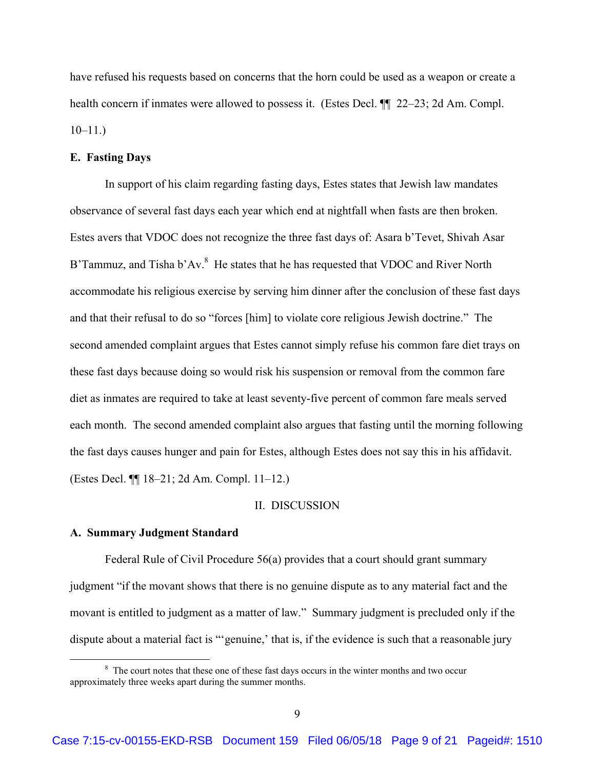have refused his requests based on concerns that the horn could be used as a weapon or create a health concern if inmates were allowed to possess it. (Estes Decl.  $\P$  22–23; 2d Am. Compl.  $10-11.$ )

## **E. Fasting Days**

In support of his claim regarding fasting days, Estes states that Jewish law mandates observance of several fast days each year which end at nightfall when fasts are then broken. Estes avers that VDOC does not recognize the three fast days of: Asara b'Tevet, Shivah Asar B'Tammuz, and Tisha b'Av. $8$  He states that he has requested that VDOC and River North accommodate his religious exercise by serving him dinner after the conclusion of these fast days and that their refusal to do so "forces [him] to violate core religious Jewish doctrine." The second amended complaint argues that Estes cannot simply refuse his common fare diet trays on these fast days because doing so would risk his suspension or removal from the common fare diet as inmates are required to take at least seventy-five percent of common fare meals served each month. The second amended complaint also argues that fasting until the morning following the fast days causes hunger and pain for Estes, although Estes does not say this in his affidavit. (Estes Decl. ¶¶ 18–21; 2d Am. Compl. 11–12.)

#### II. DISCUSSION

### **A. Summary Judgment Standard**

Federal Rule of Civil Procedure 56(a) provides that a court should grant summary judgment "if the movant shows that there is no genuine dispute as to any material fact and the movant is entitled to judgment as a matter of law." Summary judgment is precluded only if the dispute about a material fact is ""genuine," that is, if the evidence is such that a reasonable jury

 $\begin{array}{c|c}\n\hline\n\text{1} & \text{2} & \text{3} \\
\hline\n\text{2} & \text{3} & \text{4}\n\end{array}$ <sup>8</sup> The court notes that these one of these fast days occurs in the winter months and two occur approximately three weeks apart during the summer months.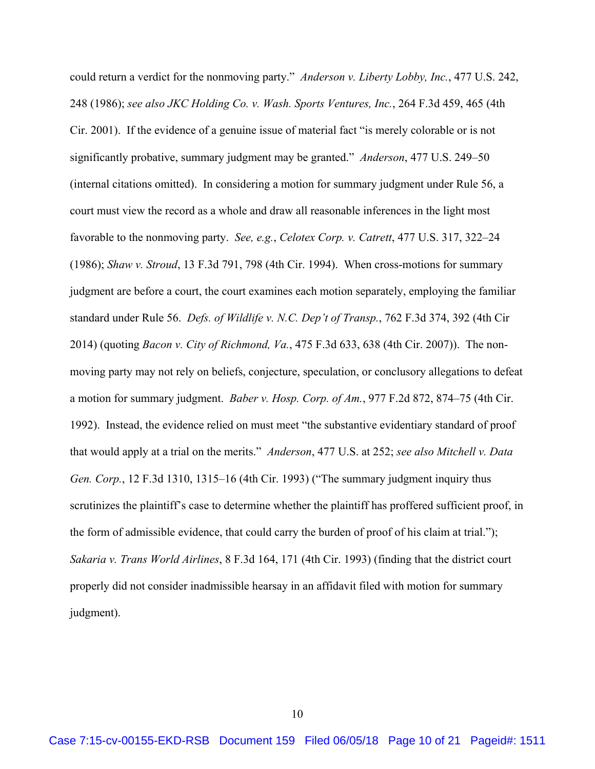could return a verdict for the nonmoving party." *Anderson v. Liberty Lobby, Inc.*, 477 U.S. 242, 248 (1986); *see also JKC Holding Co. v. Wash. Sports Ventures, Inc.*, 264 F.3d 459, 465 (4th Cir. 2001). If the evidence of a genuine issue of material fact "is merely colorable or is not significantly probative, summary judgment may be granted." *Anderson*, 477 U.S. 249–50 (internal citations omitted). In considering a motion for summary judgment under Rule 56, a court must view the record as a whole and draw all reasonable inferences in the light most favorable to the nonmoving party. *See, e.g.*, *Celotex Corp. v. Catrett*, 477 U.S. 317, 322–24 (1986); *Shaw v. Stroud*, 13 F.3d 791, 798 (4th Cir. 1994). When cross-motions for summary judgment are before a court, the court examines each motion separately, employing the familiar standard under Rule 56. *Defs. of Wildlife v. N.C. Dep't of Transp.*, 762 F.3d 374, 392 (4th Cir 2014) (quoting *Bacon v. City of Richmond, Va.*, 475 F.3d 633, 638 (4th Cir. 2007)). The nonmoving party may not rely on beliefs, conjecture, speculation, or conclusory allegations to defeat a motion for summary judgment. *Baber v. Hosp. Corp. of Am.*, 977 F.2d 872, 874–75 (4th Cir. 1992). Instead, the evidence relied on must meet "the substantive evidentiary standard of proof that would apply at a trial on the merits." *Anderson*, 477 U.S. at 252; *see also Mitchell v. Data Gen. Corp.*, 12 F.3d 1310, 1315–16 (4th Cir. 1993) ("The summary judgment inquiry thus scrutinizes the plaintiff's case to determine whether the plaintiff has proffered sufficient proof, in the form of admissible evidence, that could carry the burden of proof of his claim at trial."); *Sakaria v. Trans World Airlines*, 8 F.3d 164, 171 (4th Cir. 1993) (finding that the district court properly did not consider inadmissible hearsay in an affidavit filed with motion for summary judgment).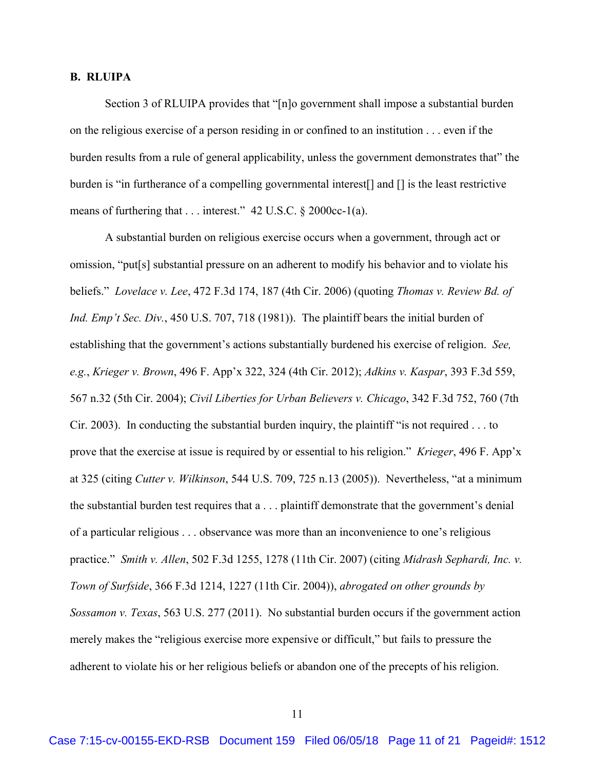#### **B. RLUIPA**

Section 3 of RLUIPA provides that "[n]o government shall impose a substantial burden on the religious exercise of a person residing in or confined to an institution . . . even if the burden results from a rule of general applicability, unless the government demonstrates that" the burden is "in furtherance of a compelling governmental interest[] and [] is the least restrictive means of furthering that . . . interest." 42 U.S.C. § 2000cc-1(a).

A substantial burden on religious exercise occurs when a government, through act or omission, "put[s] substantial pressure on an adherent to modify his behavior and to violate his beliefs." *Lovelace v. Lee*, 472 F.3d 174, 187 (4th Cir. 2006) (quoting *Thomas v. Review Bd. of Ind. Emp't Sec. Div.*, 450 U.S. 707, 718 (1981)). The plaintiff bears the initial burden of establishing that the government's actions substantially burdened his exercise of religion. *See, e.g.*, *Krieger v. Brown*, 496 F. App'x 322, 324 (4th Cir. 2012); *Adkins v. Kaspar*, 393 F.3d 559, 567 n.32 (5th Cir. 2004); *Civil Liberties for Urban Believers v. Chicago*, 342 F.3d 752, 760 (7th Cir. 2003). In conducting the substantial burden inquiry, the plaintiff "is not required . . . to prove that the exercise at issue is required by or essential to his religion." *Krieger*, 496 F. App'x at 325 (citing *Cutter v. Wilkinson*, 544 U.S. 709, 725 n.13 (2005)). Nevertheless, "at a minimum the substantial burden test requires that a . . . plaintiff demonstrate that the government's denial of a particular religious . . . observance was more than an inconvenience to one's religious practice." *Smith v. Allen*, 502 F.3d 1255, 1278 (11th Cir. 2007) (citing *Midrash Sephardi, Inc. v. Town of Surfside*, 366 F.3d 1214, 1227 (11th Cir. 2004)), *abrogated on other grounds by Sossamon v. Texas*, 563 U.S. 277 (2011). No substantial burden occurs if the government action merely makes the "religious exercise more expensive or difficult," but fails to pressure the adherent to violate his or her religious beliefs or abandon one of the precepts of his religion.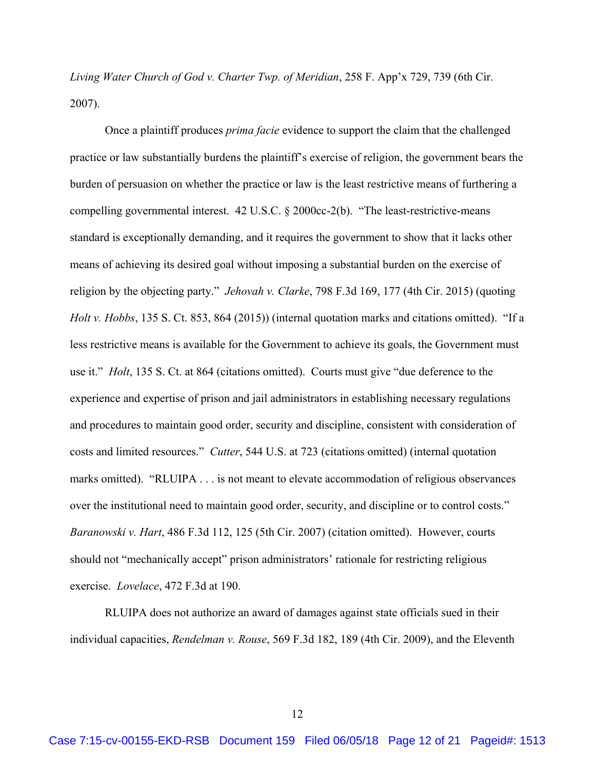*Living Water Church of God v. Charter Twp. of Meridian*, 258 F. App'x 729, 739 (6th Cir. 2007).

Once a plaintiff produces *prima facie* evidence to support the claim that the challenged practice or law substantially burdens the plaintiff's exercise of religion, the government bears the burden of persuasion on whether the practice or law is the least restrictive means of furthering a compelling governmental interest. 42 U.S.C. § 2000cc-2(b). "The least-restrictive-means standard is exceptionally demanding, and it requires the government to show that it lacks other means of achieving its desired goal without imposing a substantial burden on the exercise of religion by the objecting party." *Jehovah v. Clarke*, 798 F.3d 169, 177 (4th Cir. 2015) (quoting *Holt v. Hobbs*, 135 S. Ct. 853, 864 (2015)) (internal quotation marks and citations omitted). "If a less restrictive means is available for the Government to achieve its goals, the Government must use it." *Holt*, 135 S. Ct. at 864 (citations omitted). Courts must give "due deference to the experience and expertise of prison and jail administrators in establishing necessary regulations and procedures to maintain good order, security and discipline, consistent with consideration of costs and limited resources." *Cutter*, 544 U.S. at 723 (citations omitted) (internal quotation marks omitted). "RLUIPA . . . is not meant to elevate accommodation of religious observances over the institutional need to maintain good order, security, and discipline or to control costs." *Baranowski v. Hart*, 486 F.3d 112, 125 (5th Cir. 2007) (citation omitted). However, courts should not "mechanically accept" prison administrators' rationale for restricting religious exercise. *Lovelace*, 472 F.3d at 190.

 RLUIPA does not authorize an award of damages against state officials sued in their individual capacities, *Rendelman v. Rouse*, 569 F.3d 182, 189 (4th Cir. 2009), and the Eleventh

12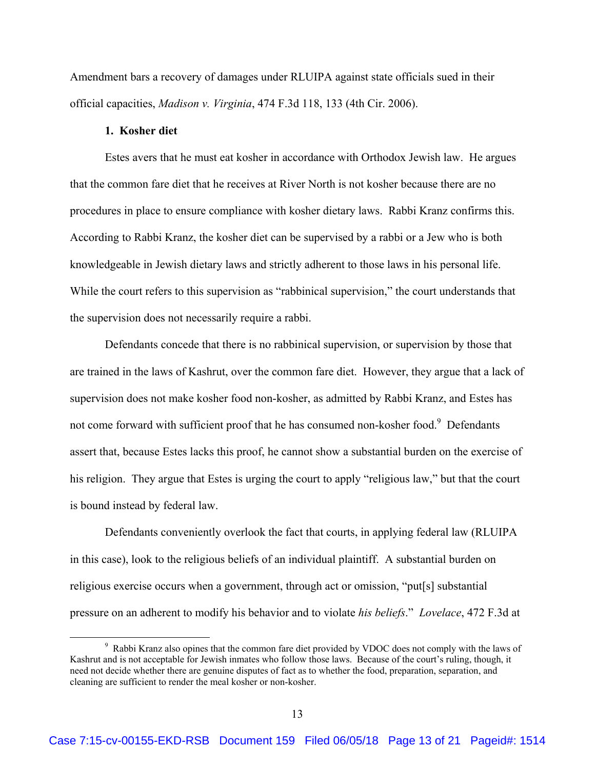Amendment bars a recovery of damages under RLUIPA against state officials sued in their official capacities, *Madison v. Virginia*, 474 F.3d 118, 133 (4th Cir. 2006).

#### **1. Kosher diet**

Estes avers that he must eat kosher in accordance with Orthodox Jewish law. He argues that the common fare diet that he receives at River North is not kosher because there are no procedures in place to ensure compliance with kosher dietary laws. Rabbi Kranz confirms this. According to Rabbi Kranz, the kosher diet can be supervised by a rabbi or a Jew who is both knowledgeable in Jewish dietary laws and strictly adherent to those laws in his personal life. While the court refers to this supervision as "rabbinical supervision," the court understands that the supervision does not necessarily require a rabbi.

 Defendants concede that there is no rabbinical supervision, or supervision by those that are trained in the laws of Kashrut, over the common fare diet. However, they argue that a lack of supervision does not make kosher food non-kosher, as admitted by Rabbi Kranz, and Estes has not come forward with sufficient proof that he has consumed non-kosher food.<sup>9</sup> Defendants assert that, because Estes lacks this proof, he cannot show a substantial burden on the exercise of his religion. They argue that Estes is urging the court to apply "religious law," but that the court is bound instead by federal law.

Defendants conveniently overlook the fact that courts, in applying federal law (RLUIPA in this case), look to the religious beliefs of an individual plaintiff. A substantial burden on religious exercise occurs when a government, through act or omission, "put[s] substantial pressure on an adherent to modify his behavior and to violate *his beliefs*." *Lovelace*, 472 F.3d at

 $\frac{1}{9}$ <sup>9</sup> Rabbi Kranz also opines that the common fare diet provided by VDOC does not comply with the laws of Kashrut and is not acceptable for Jewish inmates who follow those laws. Because of the court's ruling, though, it need not decide whether there are genuine disputes of fact as to whether the food, preparation, separation, and cleaning are sufficient to render the meal kosher or non-kosher.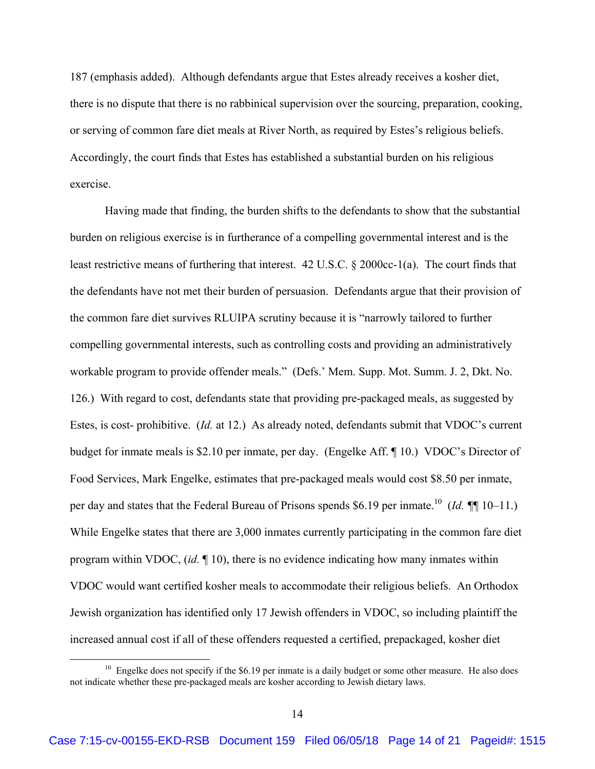187 (emphasis added). Although defendants argue that Estes already receives a kosher diet, there is no dispute that there is no rabbinical supervision over the sourcing, preparation, cooking, or serving of common fare diet meals at River North, as required by Estes's religious beliefs. Accordingly, the court finds that Estes has established a substantial burden on his religious exercise.

Having made that finding, the burden shifts to the defendants to show that the substantial burden on religious exercise is in furtherance of a compelling governmental interest and is the least restrictive means of furthering that interest. 42 U.S.C. § 2000cc-1(a). The court finds that the defendants have not met their burden of persuasion. Defendants argue that their provision of the common fare diet survives RLUIPA scrutiny because it is "narrowly tailored to further compelling governmental interests, such as controlling costs and providing an administratively workable program to provide offender meals." (Defs.' Mem. Supp. Mot. Summ. J. 2, Dkt. No. 126.) With regard to cost, defendants state that providing pre-packaged meals, as suggested by Estes, is cost- prohibitive. (*Id.* at 12.)As already noted, defendants submit that VDOC's current budget for inmate meals is \$2.10 per inmate, per day. (Engelke Aff. ¶ 10.) VDOC's Director of Food Services, Mark Engelke, estimates that pre-packaged meals would cost \$8.50 per inmate, per day and states that the Federal Bureau of Prisons spends \$6.19 per inmate.<sup>10</sup> (*Id.* ¶¶ 10–11.) While Engelke states that there are 3,000 inmates currently participating in the common fare diet program within VDOC, (*id.* ¶ 10), there is no evidence indicating how many inmates within VDOC would want certified kosher meals to accommodate their religious beliefs. An Orthodox Jewish organization has identified only 17 Jewish offenders in VDOC, so including plaintiff the increased annual cost if all of these offenders requested a certified, prepackaged, kosher diet

 $10$  Engelke does not specify if the \$6.19 per inmate is a daily budget or some other measure. He also does not indicate whether these pre-packaged meals are kosher according to Jewish dietary laws.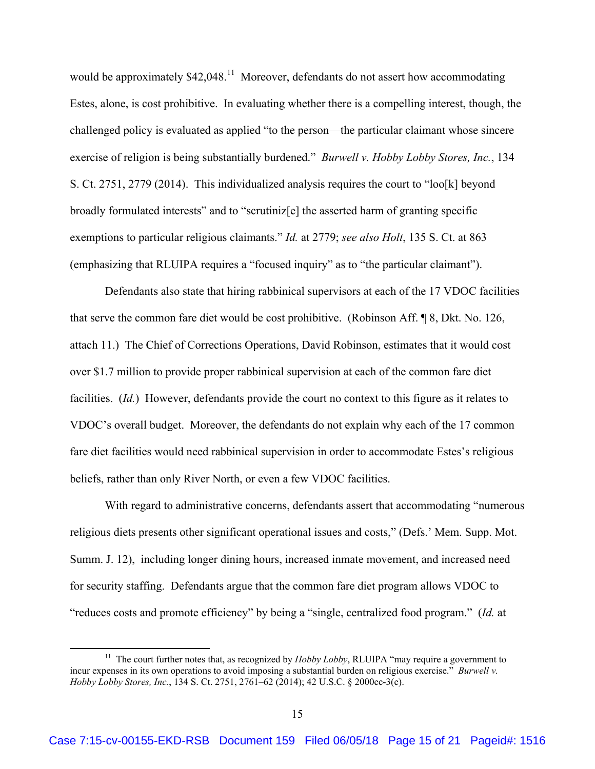would be approximately  $$42,048$ <sup>11</sup> Moreover, defendants do not assert how accommodating Estes, alone, is cost prohibitive. In evaluating whether there is a compelling interest, though, the challenged policy is evaluated as applied "to the person—the particular claimant whose sincere exercise of religion is being substantially burdened." *Burwell v. Hobby Lobby Stores, Inc.*, 134 S. Ct. 2751, 2779 (2014). This individualized analysis requires the court to "loo[k] beyond broadly formulated interests" and to "scrutiniz[e] the asserted harm of granting specific exemptions to particular religious claimants." *Id.* at 2779; *see also Holt*, 135 S. Ct. at 863 (emphasizing that RLUIPA requires a "focused inquiry" as to "the particular claimant").

Defendants also state that hiring rabbinical supervisors at each of the 17 VDOC facilities that serve the common fare diet would be cost prohibitive. (Robinson Aff. ¶ 8, Dkt. No. 126, attach 11.) The Chief of Corrections Operations, David Robinson, estimates that it would cost over \$1.7 million to provide proper rabbinical supervision at each of the common fare diet facilities. (*Id.*) However, defendants provide the court no context to this figure as it relates to VDOC's overall budget. Moreover, the defendants do not explain why each of the 17 common fare diet facilities would need rabbinical supervision in order to accommodate Estes's religious beliefs, rather than only River North, or even a few VDOC facilities.

 With regard to administrative concerns, defendants assert that accommodating "numerous religious diets presents other significant operational issues and costs," (Defs.' Mem. Supp. Mot. Summ. J. 12), including longer dining hours, increased inmate movement, and increased need for security staffing. Defendants argue that the common fare diet program allows VDOC to "reduces costs and promote efficiency" by being a "single, centralized food program." (*Id.* at

<sup>&</sup>lt;sup>11</sup> The court further notes that, as recognized by *Hobby Lobby*, RLUIPA "may require a government to incur expenses in its own operations to avoid imposing a substantial burden on religious exercise." *Burwell v. Hobby Lobby Stores, Inc.*, 134 S. Ct. 2751, 2761–62 (2014); 42 U.S.C. § 2000cc-3(c).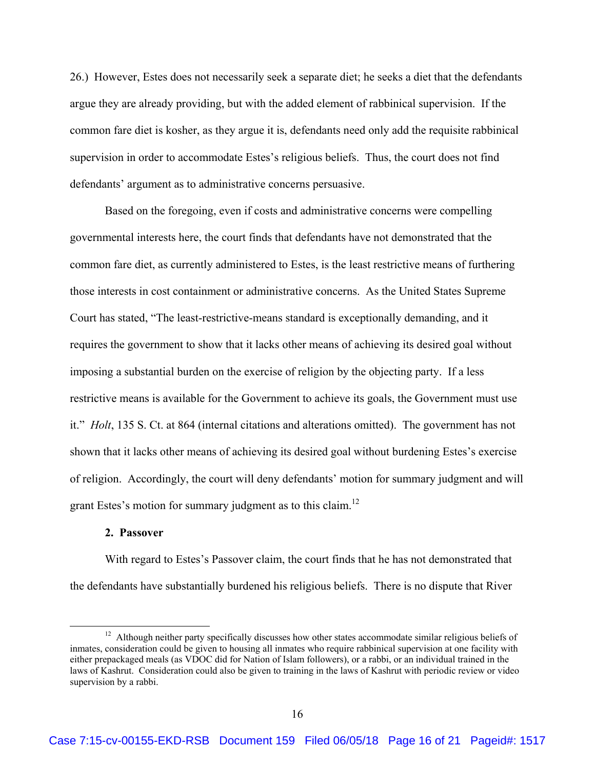26.) However, Estes does not necessarily seek a separate diet; he seeks a diet that the defendants argue they are already providing, but with the added element of rabbinical supervision. If the common fare diet is kosher, as they argue it is, defendants need only add the requisite rabbinical supervision in order to accommodate Estes's religious beliefs. Thus, the court does not find defendants' argument as to administrative concerns persuasive.

Based on the foregoing, even if costs and administrative concerns were compelling governmental interests here, the court finds that defendants have not demonstrated that the common fare diet, as currently administered to Estes, is the least restrictive means of furthering those interests in cost containment or administrative concerns. As the United States Supreme Court has stated, "The least-restrictive-means standard is exceptionally demanding, and it requires the government to show that it lacks other means of achieving its desired goal without imposing a substantial burden on the exercise of religion by the objecting party. If a less restrictive means is available for the Government to achieve its goals, the Government must use it." *Holt*, 135 S. Ct. at 864 (internal citations and alterations omitted). The government has not shown that it lacks other means of achieving its desired goal without burdening Estes's exercise of religion. Accordingly, the court will deny defendants' motion for summary judgment and will grant Estes's motion for summary judgment as to this claim.<sup>12</sup>

### **2. Passover**

With regard to Estes's Passover claim, the court finds that he has not demonstrated that the defendants have substantially burdened his religious beliefs. There is no dispute that River

 $12$  Although neither party specifically discusses how other states accommodate similar religious beliefs of inmates, consideration could be given to housing all inmates who require rabbinical supervision at one facility with either prepackaged meals (as VDOC did for Nation of Islam followers), or a rabbi, or an individual trained in the laws of Kashrut. Consideration could also be given to training in the laws of Kashrut with periodic review or video supervision by a rabbi.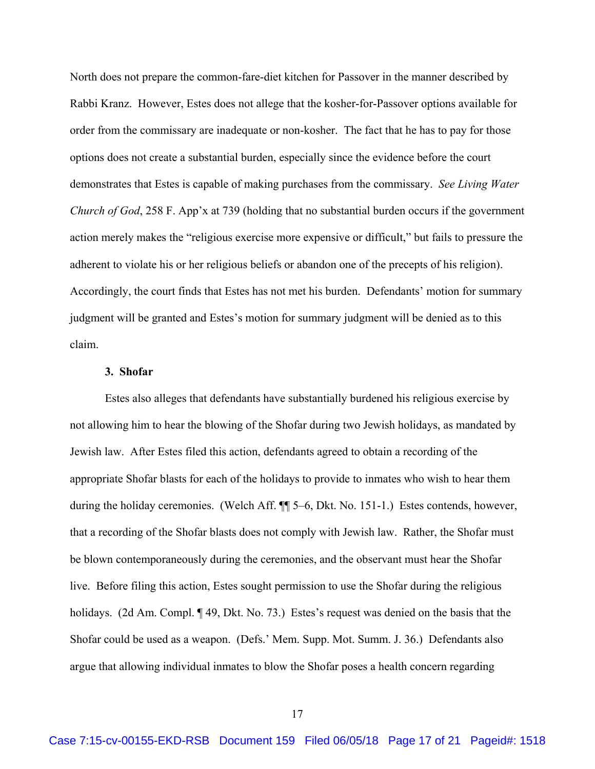North does not prepare the common-fare-diet kitchen for Passover in the manner described by Rabbi Kranz. However, Estes does not allege that the kosher-for-Passover options available for order from the commissary are inadequate or non-kosher. The fact that he has to pay for those options does not create a substantial burden, especially since the evidence before the court demonstrates that Estes is capable of making purchases from the commissary. *See Living Water Church of God*, 258 F. App'x at 739 (holding that no substantial burden occurs if the government action merely makes the "religious exercise more expensive or difficult," but fails to pressure the adherent to violate his or her religious beliefs or abandon one of the precepts of his religion). Accordingly, the court finds that Estes has not met his burden. Defendants' motion for summary judgment will be granted and Estes's motion for summary judgment will be denied as to this claim.

## **3. Shofar**

Estes also alleges that defendants have substantially burdened his religious exercise by not allowing him to hear the blowing of the Shofar during two Jewish holidays, as mandated by Jewish law. After Estes filed this action, defendants agreed to obtain a recording of the appropriate Shofar blasts for each of the holidays to provide to inmates who wish to hear them during the holiday ceremonies. (Welch Aff. ¶¶ 5–6, Dkt. No. 151-1.) Estes contends, however, that a recording of the Shofar blasts does not comply with Jewish law. Rather, the Shofar must be blown contemporaneously during the ceremonies, and the observant must hear the Shofar live. Before filing this action, Estes sought permission to use the Shofar during the religious holidays. (2d Am. Compl. ¶ 49, Dkt. No. 73.) Estes's request was denied on the basis that the Shofar could be used as a weapon. (Defs.' Mem. Supp. Mot. Summ. J. 36.) Defendants also argue that allowing individual inmates to blow the Shofar poses a health concern regarding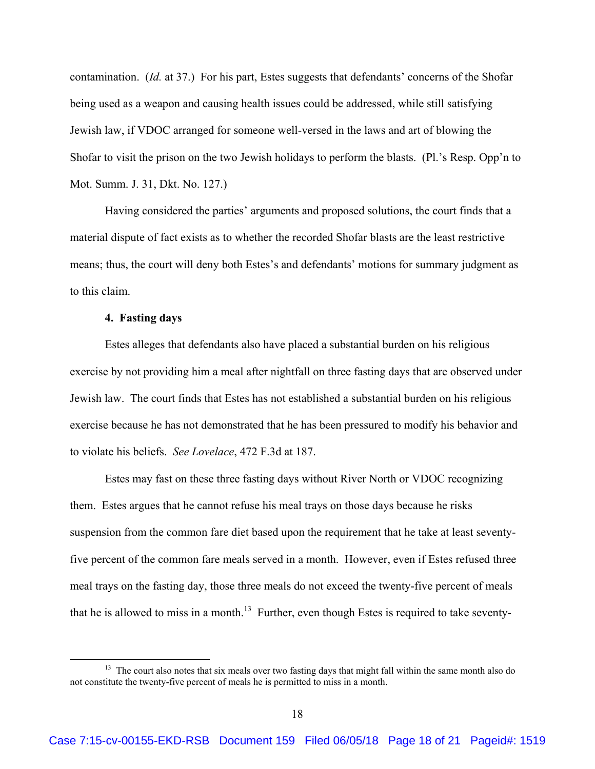contamination. (*Id.* at 37.) For his part, Estes suggests that defendants' concerns of the Shofar being used as a weapon and causing health issues could be addressed, while still satisfying Jewish law, if VDOC arranged for someone well-versed in the laws and art of blowing the Shofar to visit the prison on the two Jewish holidays to perform the blasts. (Pl.'s Resp. Opp'n to Mot. Summ. J. 31, Dkt. No. 127.)

Having considered the parties' arguments and proposed solutions, the court finds that a material dispute of fact exists as to whether the recorded Shofar blasts are the least restrictive means; thus, the court will deny both Estes's and defendants' motions for summary judgment as to this claim.

#### **4. Fasting days**

 Estes alleges that defendants also have placed a substantial burden on his religious exercise by not providing him a meal after nightfall on three fasting days that are observed under Jewish law. The court finds that Estes has not established a substantial burden on his religious exercise because he has not demonstrated that he has been pressured to modify his behavior and to violate his beliefs. *See Lovelace*, 472 F.3d at 187.

Estes may fast on these three fasting days without River North or VDOC recognizing them. Estes argues that he cannot refuse his meal trays on those days because he risks suspension from the common fare diet based upon the requirement that he take at least seventyfive percent of the common fare meals served in a month. However, even if Estes refused three meal trays on the fasting day, those three meals do not exceed the twenty-five percent of meals that he is allowed to miss in a month.<sup>13</sup> Further, even though Estes is required to take seventy-

<sup>&</sup>lt;sup>13</sup> The court also notes that six meals over two fasting days that might fall within the same month also do not constitute the twenty-five percent of meals he is permitted to miss in a month.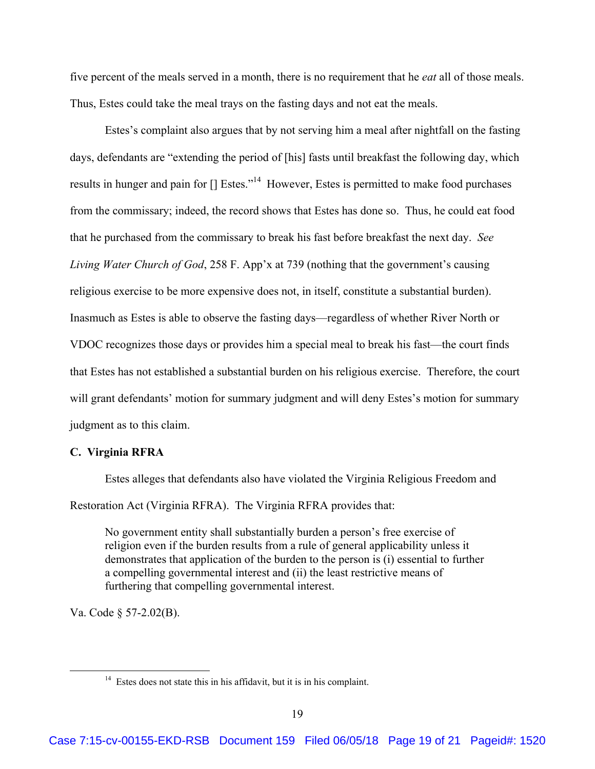five percent of the meals served in a month, there is no requirement that he *eat* all of those meals. Thus, Estes could take the meal trays on the fasting days and not eat the meals.

 Estes's complaint also argues that by not serving him a meal after nightfall on the fasting days, defendants are "extending the period of [his] fasts until breakfast the following day, which results in hunger and pain for  $[]$  Estes."<sup>14</sup> However, Estes is permitted to make food purchases from the commissary; indeed, the record shows that Estes has done so. Thus, he could eat food that he purchased from the commissary to break his fast before breakfast the next day. *See Living Water Church of God*, 258 F. App'x at 739 (nothing that the government's causing religious exercise to be more expensive does not, in itself, constitute a substantial burden). Inasmuch as Estes is able to observe the fasting days—regardless of whether River North or VDOC recognizes those days or provides him a special meal to break his fast—the court finds that Estes has not established a substantial burden on his religious exercise. Therefore, the court will grant defendants' motion for summary judgment and will deny Estes's motion for summary judgment as to this claim.

## **C. Virginia RFRA**

Estes alleges that defendants also have violated the Virginia Religious Freedom and Restoration Act (Virginia RFRA).The Virginia RFRA provides that:

No government entity shall substantially burden a person's free exercise of religion even if the burden results from a rule of general applicability unless it demonstrates that application of the burden to the person is (i) essential to further a compelling governmental interest and (ii) the least restrictive means of furthering that compelling governmental interest.

Va. Code § 57-2.02(B).

<sup>&</sup>lt;sup>14</sup> Estes does not state this in his affidavit, but it is in his complaint.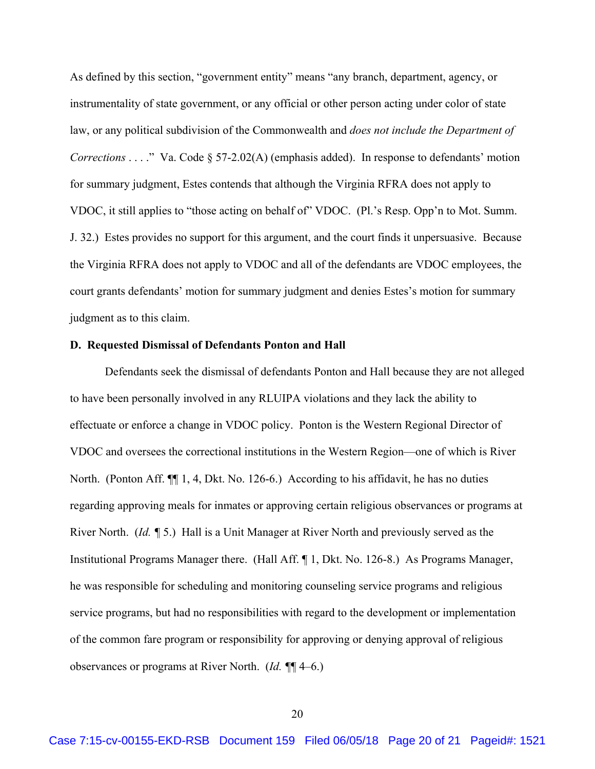As defined by this section, "government entity" means "any branch, department, agency, or instrumentality of state government, or any official or other person acting under color of state law, or any political subdivision of the Commonwealth and *does not include the Department of Corrections* . . . ." Va. Code § 57-2.02(A) (emphasis added). In response to defendants' motion for summary judgment, Estes contends that although the Virginia RFRA does not apply to VDOC, it still applies to "those acting on behalf of" VDOC. (Pl.'s Resp. Opp'n to Mot. Summ. J. 32.) Estes provides no support for this argument, and the court finds it unpersuasive. Because the Virginia RFRA does not apply to VDOC and all of the defendants are VDOC employees, the court grants defendants' motion for summary judgment and denies Estes's motion for summary judgment as to this claim.

#### **D. Requested Dismissal of Defendants Ponton and Hall**

Defendants seek the dismissal of defendants Ponton and Hall because they are not alleged to have been personally involved in any RLUIPA violations and they lack the ability to effectuate or enforce a change in VDOC policy. Ponton is the Western Regional Director of VDOC and oversees the correctional institutions in the Western Region—one of which is River North. (Ponton Aff. ¶¶ 1, 4, Dkt. No. 126-6.) According to his affidavit, he has no duties regarding approving meals for inmates or approving certain religious observances or programs at River North. (*Id. ¶* 5.) Hall is a Unit Manager at River North and previously served as the Institutional Programs Manager there. (Hall Aff. ¶ 1, Dkt. No. 126-8.) As Programs Manager, he was responsible for scheduling and monitoring counseling service programs and religious service programs, but had no responsibilities with regard to the development or implementation of the common fare program or responsibility for approving or denying approval of religious observances or programs at River North. (*Id. ¶*¶ 4–6.)

20